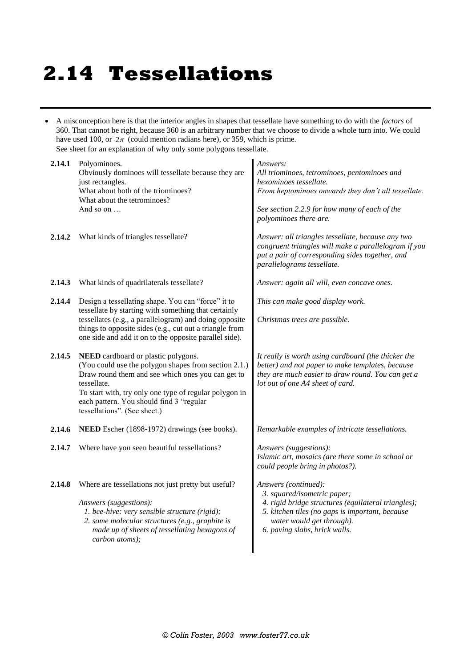## **2.14 Tessellations**

 A misconception here is that the interior angles in shapes that tessellate have something to do with the *factors* of 360. That cannot be right, because 360 is an arbitrary number that we choose to divide a whole turn into. We could have used 100, or  $2\pi$  (could mention radians here), or 359, which is prime. See sheet for an explanation of why only some polygons tessellate.

| 2.14.1 | Polyominoes.<br>Obviously dominoes will tessellate because they are<br>just rectangles.<br>What about both of the triominoes?<br>What about the tetrominoes?<br>And so on $\dots$                                                                                                                            | Answers:<br>All triominoes, tetrominoes, pentominoes and<br>hexominoes tessellate.<br>From heptominoes onwards they don't all tessellate.<br>See section 2.2.9 for how many of each of the<br>polyominoes there are.        |
|--------|--------------------------------------------------------------------------------------------------------------------------------------------------------------------------------------------------------------------------------------------------------------------------------------------------------------|-----------------------------------------------------------------------------------------------------------------------------------------------------------------------------------------------------------------------------|
| 2.14.2 | What kinds of triangles tessellate?                                                                                                                                                                                                                                                                          | Answer: all triangles tessellate, because any two<br>congruent triangles will make a parallelogram if you<br>put a pair of corresponding sides together, and<br>parallelograms tessellate.                                  |
| 2.14.3 | What kinds of quadrilaterals tessellate?                                                                                                                                                                                                                                                                     | Answer: again all will, even concave ones.                                                                                                                                                                                  |
| 2.14.4 | Design a tessellating shape. You can "force" it to                                                                                                                                                                                                                                                           | This can make good display work.                                                                                                                                                                                            |
|        | tessellate by starting with something that certainly<br>tessellates (e.g., a parallelogram) and doing opposite<br>things to opposite sides (e.g., cut out a triangle from<br>one side and add it on to the opposite parallel side).                                                                          | Christmas trees are possible.                                                                                                                                                                                               |
| 2.14.5 | <b>NEED</b> cardboard or plastic polygons.<br>(You could use the polygon shapes from section 2.1.)<br>Draw round them and see which ones you can get to<br>tessellate.<br>To start with, try only one type of regular polygon in<br>each pattern. You should find 3 "regular<br>tessellations". (See sheet.) | It really is worth using cardboard (the thicker the<br>better) and not paper to make templates, because<br>they are much easier to draw round. You can get a<br>lot out of one A4 sheet of card.                            |
| 2.14.6 | NEED Escher (1898-1972) drawings (see books).                                                                                                                                                                                                                                                                | Remarkable examples of intricate tessellations.                                                                                                                                                                             |
| 2.14.7 | Where have you seen beautiful tessellations?                                                                                                                                                                                                                                                                 | Answers (suggestions):<br>Islamic art, mosaics (are there some in school or<br>could people bring in photos?).                                                                                                              |
| 2.14.8 | Where are tessellations not just pretty but useful?<br>Answers (suggestions):<br>1. bee-hive: very sensible structure (rigid);<br>2. some molecular structures (e.g., graphite is<br>made up of sheets of tessellating hexagons of<br>carbon atoms);                                                         | Answers (continued):<br>3. squared/isometric paper;<br>4. rigid bridge structures (equilateral triangles);<br>5. kitchen tiles (no gaps is important, because<br>water would get through).<br>6. paving slabs, brick walls. |